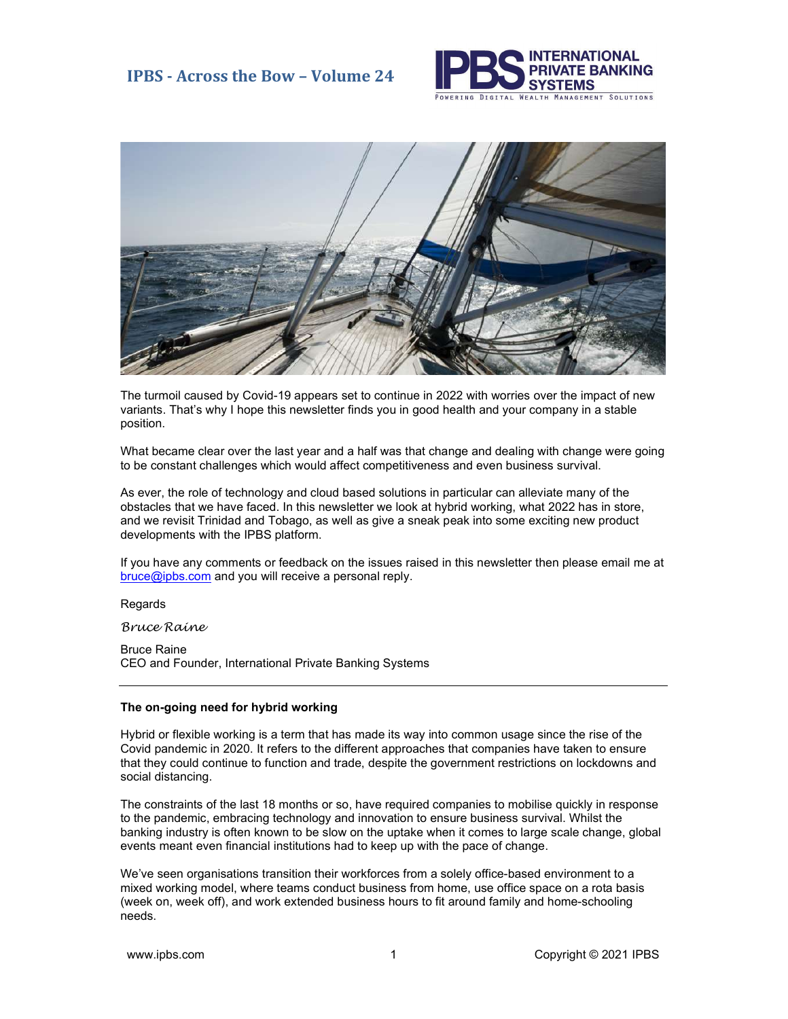



The turmoil caused by Covid-19 appears set to continue in 2022 with worries over the impact of new variants. That's why I hope this newsletter finds you in good health and your company in a stable position.

What became clear over the last year and a half was that change and dealing with change were going to be constant challenges which would affect competitiveness and even business survival.

As ever, the role of technology and cloud based solutions in particular can alleviate many of the obstacles that we have faced. In this newsletter we look at hybrid working, what 2022 has in store, and we revisit Trinidad and Tobago, as well as give a sneak peak into some exciting new product developments with the IPBS platform.

If you have any comments or feedback on the issues raised in this newsletter then please email me at bruce@ipbs.com and you will receive a personal reply.

Regards

Bruce Raine

Bruce Raine CEO and Founder, International Private Banking Systems

### The on-going need for hybrid working

Hybrid or flexible working is a term that has made its way into common usage since the rise of the Covid pandemic in 2020. It refers to the different approaches that companies have taken to ensure that they could continue to function and trade, despite the government restrictions on lockdowns and social distancing.

The constraints of the last 18 months or so, have required companies to mobilise quickly in response to the pandemic, embracing technology and innovation to ensure business survival. Whilst the banking industry is often known to be slow on the uptake when it comes to large scale change, global events meant even financial institutions had to keep up with the pace of change.

We've seen organisations transition their workforces from a solely office-based environment to a mixed working model, where teams conduct business from home, use office space on a rota basis (week on, week off), and work extended business hours to fit around family and home-schooling needs.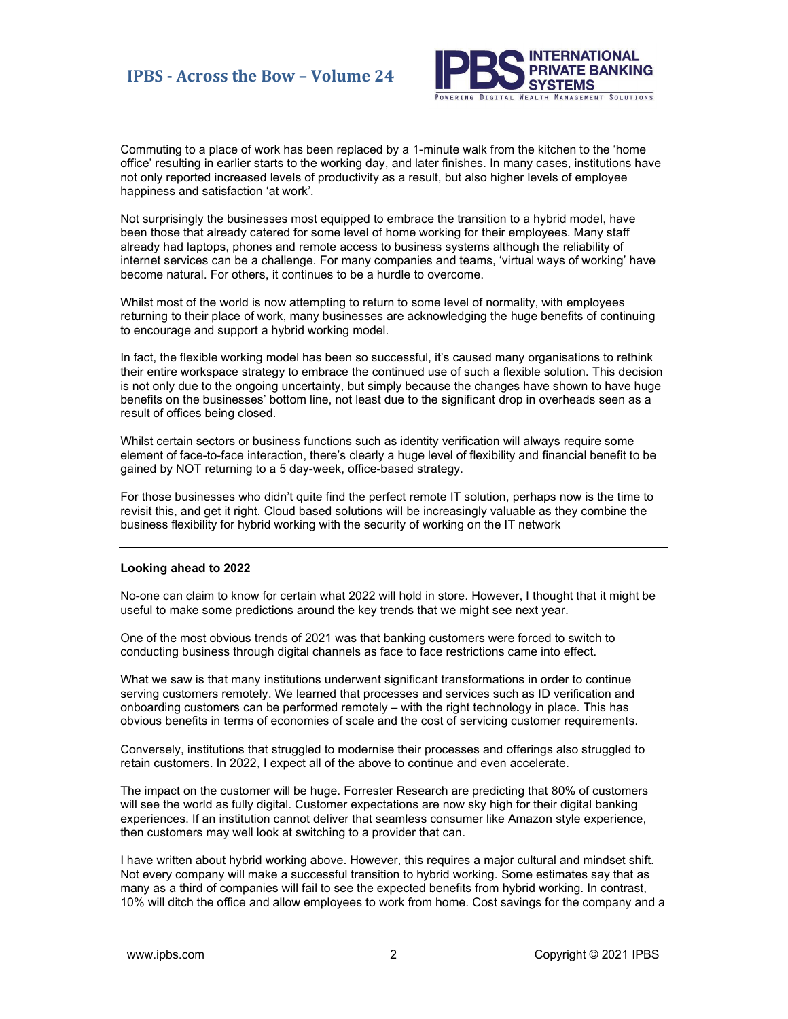### IPBS - Across the Bow – Volume 24



Commuting to a place of work has been replaced by a 1-minute walk from the kitchen to the 'home office' resulting in earlier starts to the working day, and later finishes. In many cases, institutions have not only reported increased levels of productivity as a result, but also higher levels of employee happiness and satisfaction 'at work'.

Not surprisingly the businesses most equipped to embrace the transition to a hybrid model, have been those that already catered for some level of home working for their employees. Many staff already had laptops, phones and remote access to business systems although the reliability of internet services can be a challenge. For many companies and teams, 'virtual ways of working' have become natural. For others, it continues to be a hurdle to overcome.

Whilst most of the world is now attempting to return to some level of normality, with employees returning to their place of work, many businesses are acknowledging the huge benefits of continuing to encourage and support a hybrid working model.

In fact, the flexible working model has been so successful, it's caused many organisations to rethink their entire workspace strategy to embrace the continued use of such a flexible solution. This decision is not only due to the ongoing uncertainty, but simply because the changes have shown to have huge benefits on the businesses' bottom line, not least due to the significant drop in overheads seen as a result of offices being closed.

Whilst certain sectors or business functions such as identity verification will always require some element of face-to-face interaction, there's clearly a huge level of flexibility and financial benefit to be gained by NOT returning to a 5 day-week, office-based strategy.

For those businesses who didn't quite find the perfect remote IT solution, perhaps now is the time to revisit this, and get it right. Cloud based solutions will be increasingly valuable as they combine the business flexibility for hybrid working with the security of working on the IT network

#### Looking ahead to 2022

No-one can claim to know for certain what 2022 will hold in store. However, I thought that it might be useful to make some predictions around the key trends that we might see next year.

One of the most obvious trends of 2021 was that banking customers were forced to switch to conducting business through digital channels as face to face restrictions came into effect.

What we saw is that many institutions underwent significant transformations in order to continue serving customers remotely. We learned that processes and services such as ID verification and onboarding customers can be performed remotely – with the right technology in place. This has obvious benefits in terms of economies of scale and the cost of servicing customer requirements.

Conversely, institutions that struggled to modernise their processes and offerings also struggled to retain customers. In 2022, I expect all of the above to continue and even accelerate.

The impact on the customer will be huge. Forrester Research are predicting that 80% of customers will see the world as fully digital. Customer expectations are now sky high for their digital banking experiences. If an institution cannot deliver that seamless consumer like Amazon style experience, then customers may well look at switching to a provider that can.

I have written about hybrid working above. However, this requires a major cultural and mindset shift. Not every company will make a successful transition to hybrid working. Some estimates say that as many as a third of companies will fail to see the expected benefits from hybrid working. In contrast, 10% will ditch the office and allow employees to work from home. Cost savings for the company and a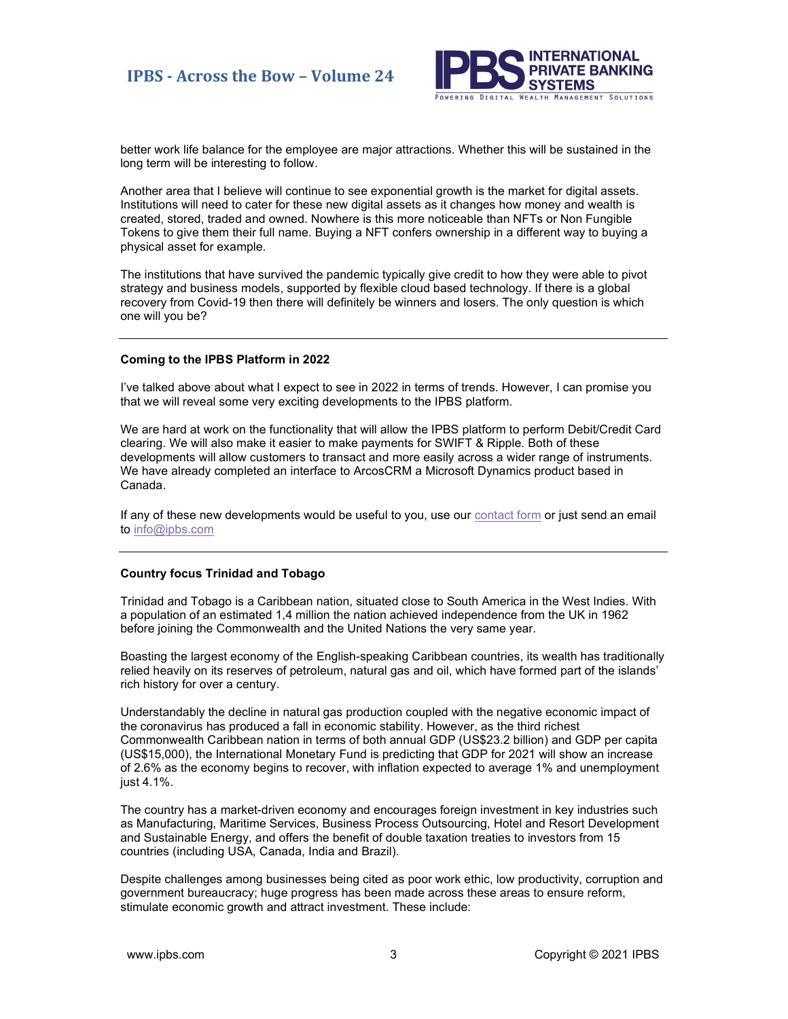

better work life balance for the employee are major attractions. Whether this will be sustained in the long term will be interesting to follow.

Another area that I believe will continue to see exponential growth is the market for digital assets. Institutions will need to cater for these new digital assets as it changes how money and wealth is created, stored, traded and owned. Nowhere is this more noticeable than NFTs or Non Fungible Tokens to give them their full name. Buying a NFT confers ownership in a different way to buying a physical asset for example.

The institutions that have survived the pandemic typically give credit to how they were able to pivot strategy and business models, supported by flexible cloud based technology. If there is a global recovery from Covid-19 then there will definitely be winners and losers. The only question is which one will you be?

#### Coming to the IPBS Platform in 2022

I've talked above about what I expect to see in 2022 in terms of trends. However, I can promise you that we will reveal some very exciting developments to the IPBS platform.

We are hard at work on the functionality that will allow the IPBS platform to perform Debit/Credit Card clearing. We will also make it easier to make payments for SWIFT & Ripple. Both of these developments will allow customers to transact and more easily across a wider range of instruments. We have already completed an interface to ArcosCRM a Microsoft Dynamics product based in Canada.

If any of these new developments would be useful to you, use our contact form or just send an email to info@ipbs.com

#### Country focus Trinidad and Tobago

Trinidad and Tobago is a Caribbean nation, situated close to South America in the West Indies. With a population of an estimated 1,4 million the nation achieved independence from the UK in 1962 before joining the Commonwealth and the United Nations the very same year.

Boasting the largest economy of the English-speaking Caribbean countries, its wealth has traditionally relied heavily on its reserves of petroleum, natural gas and oil, which have formed part of the islands' rich history for over a century.

Understandably the decline in natural gas production coupled with the negative economic impact of the coronavirus has produced a fall in economic stability. However, as the third richest Commonwealth Caribbean nation in terms of both annual GDP (US\$23.2 billion) and GDP per capita (US\$15,000), the International Monetary Fund is predicting that GDP for 2021 will show an increase of 2.6% as the economy begins to recover, with inflation expected to average 1% and unemployment just 4.1%.

The country has a market-driven economy and encourages foreign investment in key industries such as Manufacturing, Maritime Services, Business Process Outsourcing, Hotel and Resort Development and Sustainable Energy, and offers the benefit of double taxation treaties to investors from 15 countries (including USA, Canada, India and Brazil).

Despite challenges among businesses being cited as poor work ethic, low productivity, corruption and government bureaucracy; huge progress has been made across these areas to ensure reform, stimulate economic growth and attract investment. These include: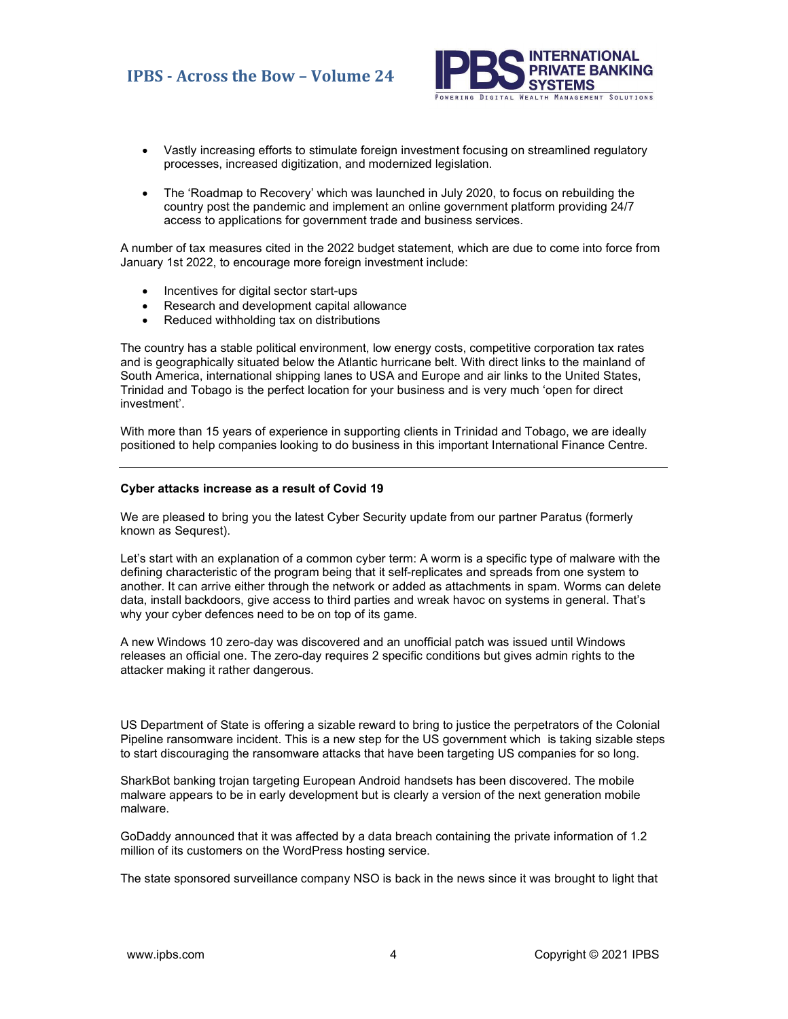# IPBS - Across the Bow – Volume 24



- Vastly increasing efforts to stimulate foreign investment focusing on streamlined regulatory processes, increased digitization, and modernized legislation.
- The 'Roadmap to Recovery' which was launched in July 2020, to focus on rebuilding the country post the pandemic and implement an online government platform providing 24/7 access to applications for government trade and business services.

A number of tax measures cited in the 2022 budget statement, which are due to come into force from January 1st 2022, to encourage more foreign investment include:

- Incentives for digital sector start-ups
- Research and development capital allowance
- Reduced withholding tax on distributions

The country has a stable political environment, low energy costs, competitive corporation tax rates and is geographically situated below the Atlantic hurricane belt. With direct links to the mainland of South America, international shipping lanes to USA and Europe and air links to the United States, Trinidad and Tobago is the perfect location for your business and is very much 'open for direct investment'.

With more than 15 years of experience in supporting clients in Trinidad and Tobago, we are ideally positioned to help companies looking to do business in this important International Finance Centre.

#### Cyber attacks increase as a result of Covid 19

We are pleased to bring you the latest Cyber Security update from our partner Paratus (formerly known as Sequrest).

Let's start with an explanation of a common cyber term: A worm is a specific type of malware with the defining characteristic of the program being that it self-replicates and spreads from one system to another. It can arrive either through the network or added as attachments in spam. Worms can delete data, install backdoors, give access to third parties and wreak havoc on systems in general. That's why your cyber defences need to be on top of its game.

A new Windows 10 zero-day was discovered and an unofficial patch was issued until Windows releases an official one. The zero-day requires 2 specific conditions but gives admin rights to the attacker making it rather dangerous.

US Department of State is offering a sizable reward to bring to justice the perpetrators of the Colonial Pipeline ransomware incident. This is a new step for the US government which is taking sizable steps to start discouraging the ransomware attacks that have been targeting US companies for so long.

SharkBot banking trojan targeting European Android handsets has been discovered. The mobile malware appears to be in early development but is clearly a version of the next generation mobile malware.

GoDaddy announced that it was affected by a data breach containing the private information of 1.2 million of its customers on the WordPress hosting service.

The state sponsored surveillance company NSO is back in the news since it was brought to light that